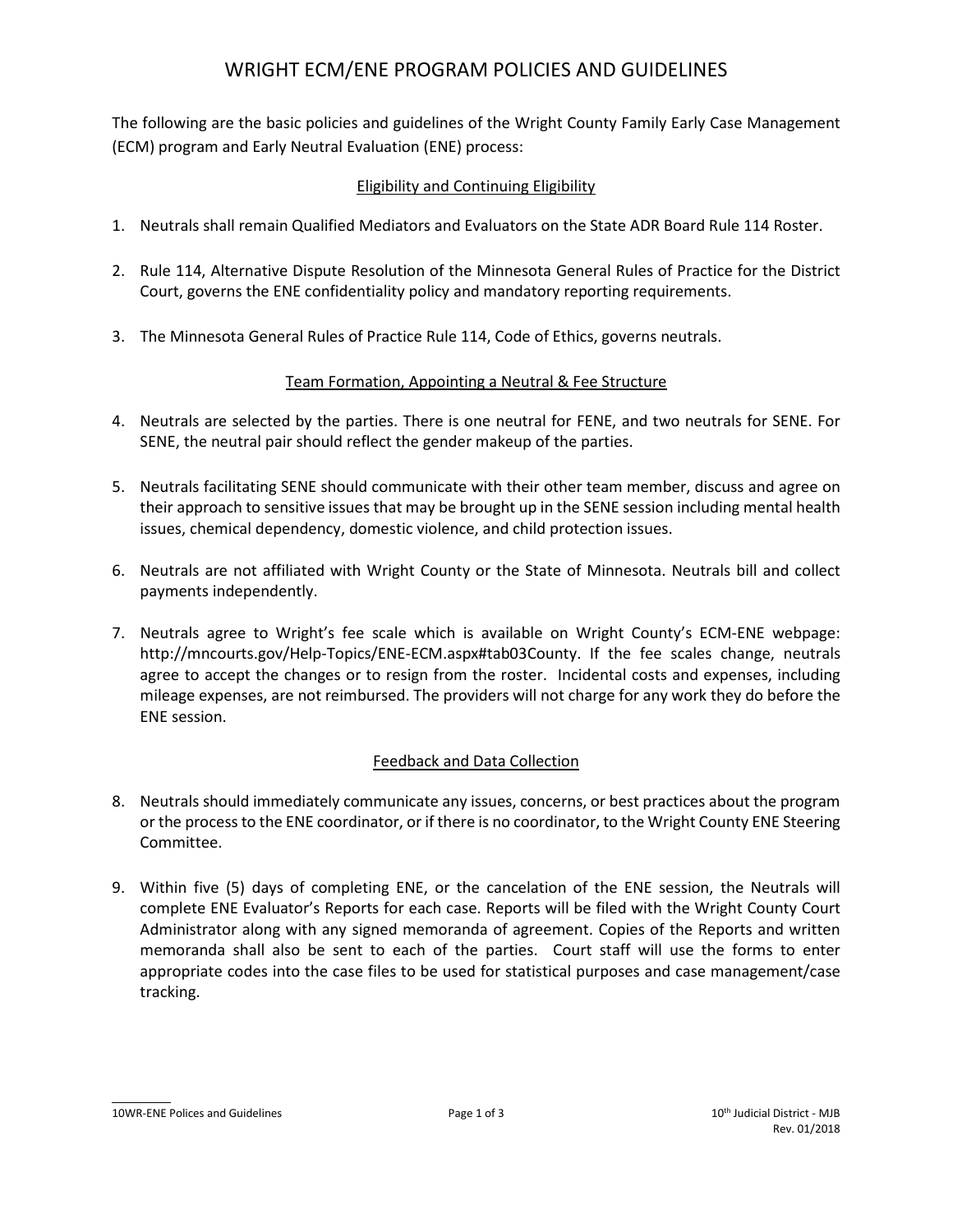# WRIGHT ECM/ENE PROGRAM POLICIES AND GUIDELINES

The following are the basic policies and guidelines of the Wright County Family Early Case Management (ECM) program and Early Neutral Evaluation (ENE) process:

## Eligibility and Continuing Eligibility

- 1. Neutrals shall remain Qualified Mediators and Evaluators on the State ADR Board Rule 114 Roster.
- 2. Rule 114, Alternative Dispute Resolution of the Minnesota General Rules of Practice for the District Court, governs the ENE confidentiality policy and mandatory reporting requirements.
- 3. The Minnesota General Rules of Practice Rule 114, Code of Ethics, governs neutrals.

## Team Formation, Appointing a Neutral & Fee Structure

- 4. Neutrals are selected by the parties. There is one neutral for FENE, and two neutrals for SENE. For SENE, the neutral pair should reflect the gender makeup of the parties.
- 5. Neutrals facilitating SENE should communicate with their other team member, discuss and agree on their approach to sensitive issues that may be brought up in the SENE session including mental health issues, chemical dependency, domestic violence, and child protection issues.
- 6. Neutrals are not affiliated with Wright County or the State of Minnesota. Neutrals bill and collect payments independently.
- 7. Neutrals agree to Wright's fee scale which is available on Wright County's ECM-ENE webpage: http://mncourts.gov/Help-Topics/ENE-ECM.aspx#tab03County. If the fee scales change, neutrals agree to accept the changes or to resign from the roster. Incidental costs and expenses, including mileage expenses, are not reimbursed. The providers will not charge for any work they do before the ENE session.

## Feedback and Data Collection

- 8. Neutrals should immediately communicate any issues, concerns, or best practices about the program or the process to the ENE coordinator, or if there is no coordinator, to the Wright County ENE Steering Committee.
- 9. Within five (5) days of completing ENE, or the cancelation of the ENE session, the Neutrals will complete ENE Evaluator's Reports for each case. Reports will be filed with the Wright County Court Administrator along with any signed memoranda of agreement. Copies of the Reports and written memoranda shall also be sent to each of the parties. Court staff will use the forms to enter appropriate codes into the case files to be used for statistical purposes and case management/case tracking.

10WR-ENE Polices and Guidelines and Suidelines **Page 1 of 3** 10th Judicial District - MJB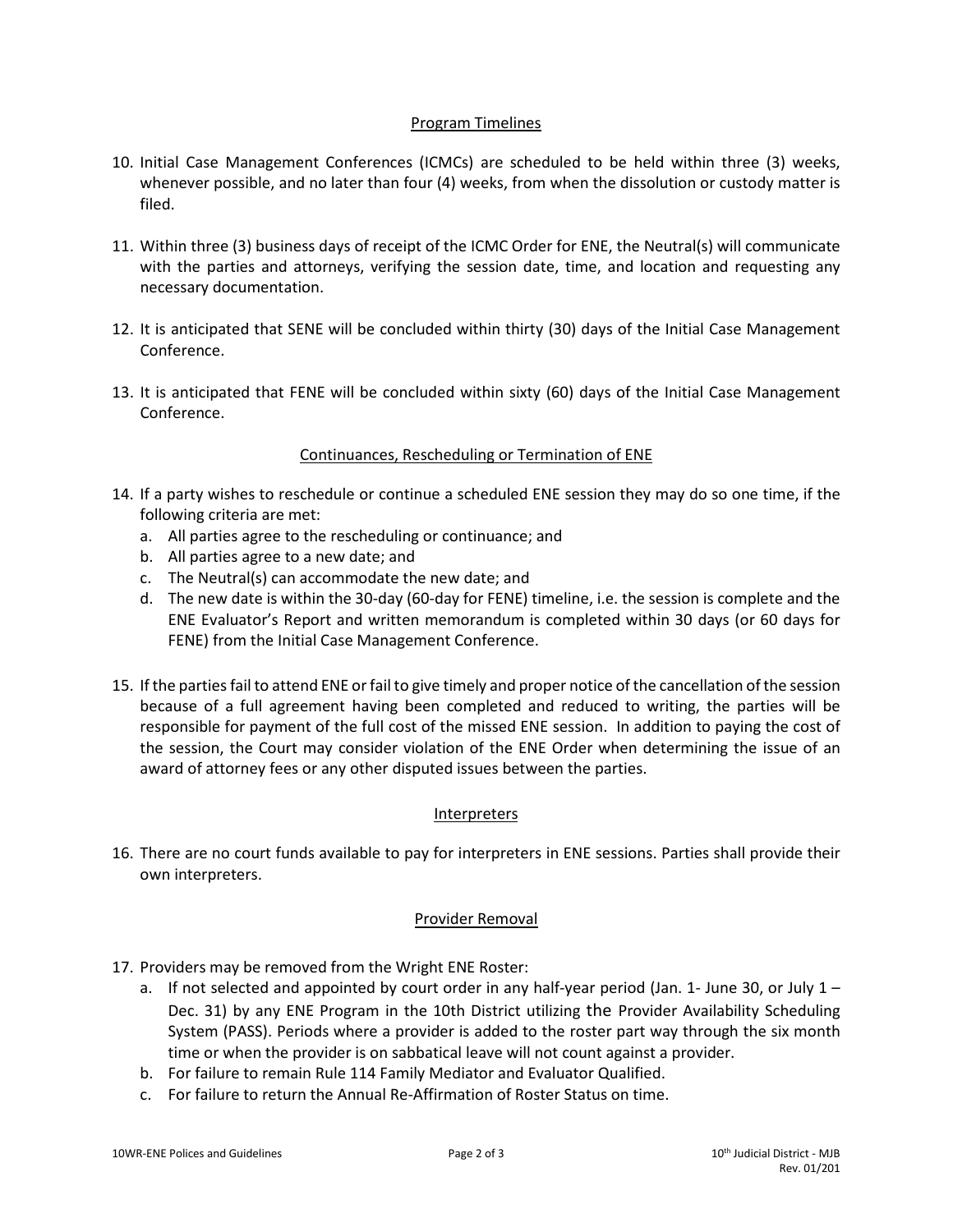#### Program Timelines

- 10. Initial Case Management Conferences (ICMCs) are scheduled to be held within three (3) weeks, whenever possible, and no later than four (4) weeks, from when the dissolution or custody matter is filed.
- 11. Within three (3) business days of receipt of the ICMC Order for ENE, the Neutral(s) will communicate with the parties and attorneys, verifying the session date, time, and location and requesting any necessary documentation.
- 12. It is anticipated that SENE will be concluded within thirty (30) days of the Initial Case Management Conference.
- 13. It is anticipated that FENE will be concluded within sixty (60) days of the Initial Case Management Conference.

## Continuances, Rescheduling or Termination of ENE

- 14. If a party wishes to reschedule or continue a scheduled ENE session they may do so one time, if the following criteria are met:
	- a. All parties agree to the rescheduling or continuance; and
	- b. All parties agree to a new date; and
	- c. The Neutral(s) can accommodate the new date; and
	- d. The new date is within the 30-day (60-day for FENE) timeline, i.e. the session is complete and the ENE Evaluator's Report and written memorandum is completed within 30 days (or 60 days for FENE) from the Initial Case Management Conference.
- 15. If the parties fail to attend ENE or fail to give timely and proper notice of the cancellation of the session because of a full agreement having been completed and reduced to writing, the parties will be responsible for payment of the full cost of the missed ENE session. In addition to paying the cost of the session, the Court may consider violation of the ENE Order when determining the issue of an award of attorney fees or any other disputed issues between the parties.

#### Interpreters

16. There are no court funds available to pay for interpreters in ENE sessions. Parties shall provide their own interpreters.

#### Provider Removal

- 17. Providers may be removed from the Wright ENE Roster:
	- a. If not selected and appointed by court order in any half-year period (Jan. 1- June 30, or July  $1 -$ Dec. 31) by any ENE Program in the 10th District utilizing the Provider Availability Scheduling System (PASS). Periods where a provider is added to the roster part way through the six month time or when the provider is on sabbatical leave will not count against a provider.
	- b. For failure to remain Rule 114 Family Mediator and Evaluator Qualified.
	- c. For failure to return the Annual Re-Affirmation of Roster Status on time.